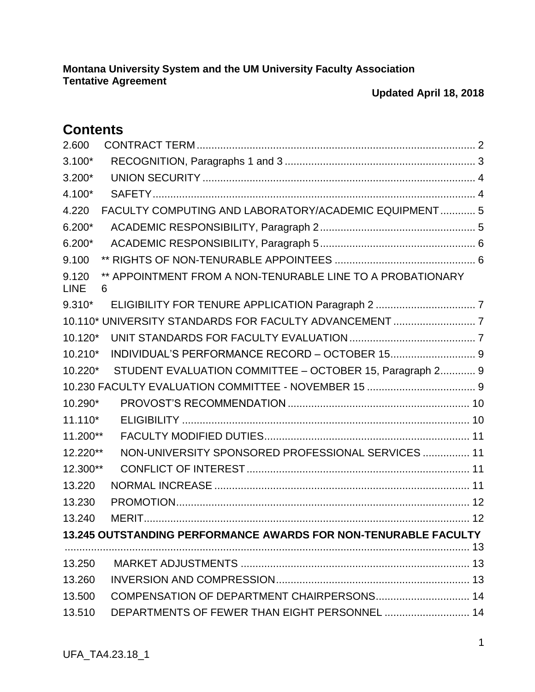# **Contents**

| 2.600                |                                                                 |  |
|----------------------|-----------------------------------------------------------------|--|
| $3.100*$             |                                                                 |  |
| $3.200*$             |                                                                 |  |
| 4.100*               |                                                                 |  |
| 4.220                | FACULTY COMPUTING AND LABORATORY/ACADEMIC EQUIPMENT 5           |  |
| $6.200*$             |                                                                 |  |
| $6.200*$             |                                                                 |  |
| 9.100                |                                                                 |  |
| 9.120<br><b>LINE</b> | ** APPOINTMENT FROM A NON-TENURABLE LINE TO A PROBATIONARY<br>6 |  |
| $9.310*$             |                                                                 |  |
|                      | 10.110* UNIVERSITY STANDARDS FOR FACULTY ADVANCEMENT  7         |  |
| 10.120*              |                                                                 |  |
| 10.210*              | INDIVIDUAL'S PERFORMANCE RECORD - OCTOBER 15 9                  |  |
| 10.220*              | STUDENT EVALUATION COMMITTEE - OCTOBER 15, Paragraph 2 9        |  |
|                      |                                                                 |  |
| 10.290*              |                                                                 |  |
| $11.110*$            |                                                                 |  |
| 11.200**             |                                                                 |  |
| 12.220**             | NON-UNIVERSITY SPONSORED PROFESSIONAL SERVICES  11              |  |
| 12.300**             |                                                                 |  |
| 13.220               |                                                                 |  |
| 13.230               |                                                                 |  |
| 13.240               |                                                                 |  |
|                      | 13.245 OUTSTANDING PERFORMANCE AWARDS FOR NON-TENURABLE FACULTY |  |
|                      |                                                                 |  |
| 13.250               |                                                                 |  |
| 13.260               |                                                                 |  |
| 13.500               | COMPENSATION OF DEPARTMENT CHAIRPERSONS 14                      |  |
| 13.510               | DEPARTMENTS OF FEWER THAN EIGHT PERSONNEL  14                   |  |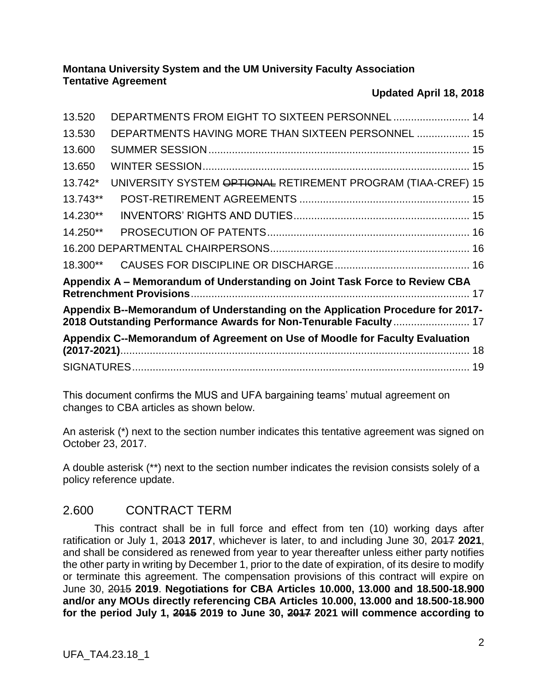### **Updated April 18, 2018**

| Appendix C--Memorandum of Agreement on Use of Moodle for Faculty Evaluation                                                                         |                                                              |  |  |  |  |
|-----------------------------------------------------------------------------------------------------------------------------------------------------|--------------------------------------------------------------|--|--|--|--|
| Appendix B--Memorandum of Understanding on the Application Procedure for 2017-<br>2018 Outstanding Performance Awards for Non-Tenurable Faculty  17 |                                                              |  |  |  |  |
| Appendix A - Memorandum of Understanding on Joint Task Force to Review CBA                                                                          |                                                              |  |  |  |  |
|                                                                                                                                                     |                                                              |  |  |  |  |
|                                                                                                                                                     |                                                              |  |  |  |  |
| 14.250**                                                                                                                                            |                                                              |  |  |  |  |
| 14.230**                                                                                                                                            |                                                              |  |  |  |  |
| 13.743**                                                                                                                                            |                                                              |  |  |  |  |
| 13.742*                                                                                                                                             | UNIVERSITY SYSTEM OPTIONAL RETIREMENT PROGRAM (TIAA-CREF) 15 |  |  |  |  |
| 13.650                                                                                                                                              |                                                              |  |  |  |  |
| 13.600                                                                                                                                              |                                                              |  |  |  |  |
| 13.530                                                                                                                                              | DEPARTMENTS HAVING MORE THAN SIXTEEN PERSONNEL  15           |  |  |  |  |
| 13.520                                                                                                                                              | DEPARTMENTS FROM EIGHT TO SIXTEEN PERSONNEL 14               |  |  |  |  |

This document confirms the MUS and UFA bargaining teams' mutual agreement on changes to CBA articles as shown below.

An asterisk (\*) next to the section number indicates this tentative agreement was signed on October 23, 2017.

A double asterisk (\*\*) next to the section number indicates the revision consists solely of a policy reference update.

## <span id="page-1-0"></span>2.600 CONTRACT TERM

This contract shall be in full force and effect from ten (10) working days after ratification or July 1, 2013 **2017**, whichever is later, to and including June 30, 2017 **2021**, and shall be considered as renewed from year to year thereafter unless either party notifies the other party in writing by December 1, prior to the date of expiration, of its desire to modify or terminate this agreement. The compensation provisions of this contract will expire on June 30, 2015 **2019**. **Negotiations for CBA Articles 10.000, 13.000 and 18.500-18.900 and/or any MOUs directly referencing CBA Articles 10.000, 13.000 and 18.500-18.900 for the period July 1, 2015 2019 to June 30, 2017 2021 will commence according to**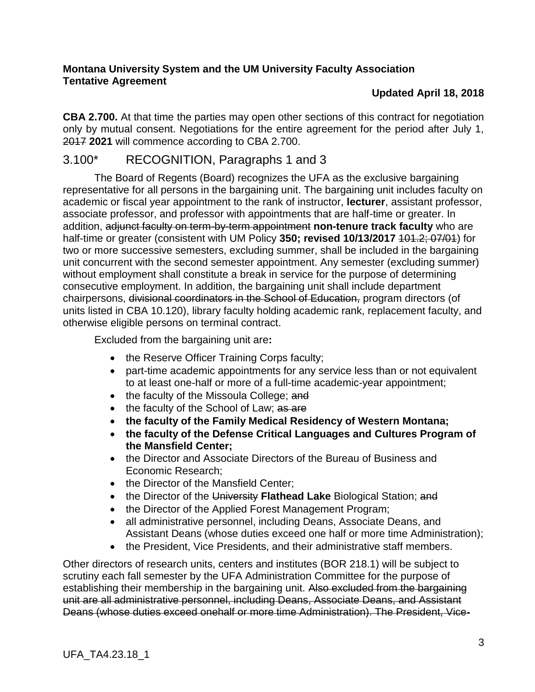### **Updated April 18, 2018**

**CBA 2.700.** At that time the parties may open other sections of this contract for negotiation only by mutual consent. Negotiations for the entire agreement for the period after July 1, 2017 **2021** will commence according to CBA 2.700.

## <span id="page-2-0"></span>3.100\* RECOGNITION, Paragraphs 1 and 3

The Board of Regents (Board) recognizes the UFA as the exclusive bargaining representative for all persons in the bargaining unit. The bargaining unit includes faculty on academic or fiscal year appointment to the rank of instructor, **lecturer**, assistant professor, associate professor, and professor with appointments that are half-time or greater. In addition, adjunct faculty on term-by-term appointment **non-tenure track faculty** who are half-time or greater (consistent with UM Policy 350; revised 10/13/2017 101.2; 07/01) for two or more successive semesters, excluding summer, shall be included in the bargaining unit concurrent with the second semester appointment. Any semester (excluding summer) without employment shall constitute a break in service for the purpose of determining consecutive employment. In addition, the bargaining unit shall include department chairpersons, divisional coordinators in the School of Education, program directors (of units listed in CBA 10.120), library faculty holding academic rank, replacement faculty, and otherwise eligible persons on terminal contract.

Excluded from the bargaining unit are**:**

- the Reserve Officer Training Corps faculty;
- part-time academic appointments for any service less than or not equivalent to at least one-half or more of a full-time academic-year appointment;
- the faculty of the Missoula College; and
- the faculty of the School of Law; as are
- **the faculty of the Family Medical Residency of Western Montana;**
- **the faculty of the Defense Critical Languages and Cultures Program of the Mansfield Center;**
- the Director and Associate Directors of the Bureau of Business and Economic Research;
- the Director of the Mansfield Center:
- the Director of the University **Flathead Lake** Biological Station; and
- the Director of the Applied Forest Management Program;
- all administrative personnel, including Deans, Associate Deans, and Assistant Deans (whose duties exceed one half or more time Administration);
- the President, Vice Presidents, and their administrative staff members.

Other directors of research units, centers and institutes (BOR 218.1) will be subject to scrutiny each fall semester by the UFA Administration Committee for the purpose of establishing their membership in the bargaining unit. Also excluded from the bargaining unit are all administrative personnel, including Deans, Associate Deans, and Assistant Deans (whose duties exceed onehalf or more time Administration). The President, Vice-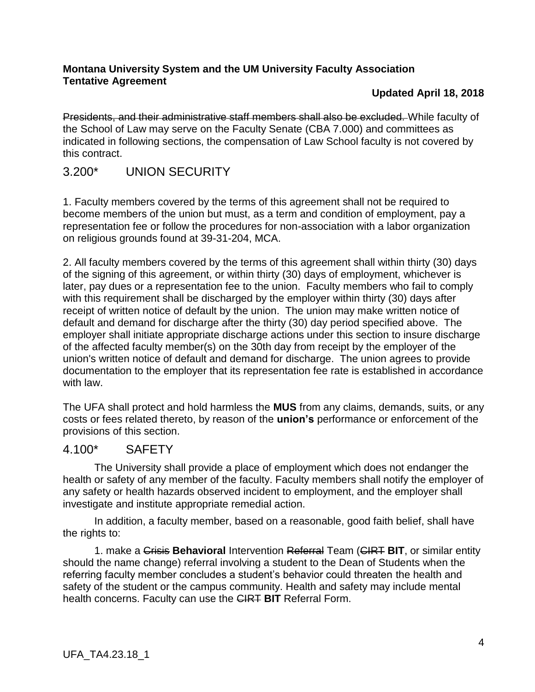#### **Updated April 18, 2018**

Presidents, and their administrative staff members shall also be excluded. While faculty of the School of Law may serve on the Faculty Senate (CBA 7.000) and committees as indicated in following sections, the compensation of Law School faculty is not covered by this contract.

## <span id="page-3-0"></span>3.200\* UNION SECURITY

1. Faculty members covered by the terms of this agreement shall not be required to become members of the union but must, as a term and condition of employment, pay a representation fee or follow the procedures for non-association with a labor organization on religious grounds found at 39-31-204, MCA.

2. All faculty members covered by the terms of this agreement shall within thirty (30) days of the signing of this agreement, or within thirty (30) days of employment, whichever is later, pay dues or a representation fee to the union. Faculty members who fail to comply with this requirement shall be discharged by the employer within thirty (30) days after receipt of written notice of default by the union. The union may make written notice of default and demand for discharge after the thirty (30) day period specified above. The employer shall initiate appropriate discharge actions under this section to insure discharge of the affected faculty member(s) on the 30th day from receipt by the employer of the union's written notice of default and demand for discharge. The union agrees to provide documentation to the employer that its representation fee rate is established in accordance with law.

The UFA shall protect and hold harmless the **MUS** from any claims, demands, suits, or any costs or fees related thereto, by reason of the **union's** performance or enforcement of the provisions of this section.

### <span id="page-3-1"></span>4.100\* SAFETY

The University shall provide a place of employment which does not endanger the health or safety of any member of the faculty. Faculty members shall notify the employer of any safety or health hazards observed incident to employment, and the employer shall investigate and institute appropriate remedial action.

In addition, a faculty member, based on a reasonable, good faith belief, shall have the rights to:

1. make a Crisis **Behavioral** Intervention Referral Team (CIRT **BIT**, or similar entity should the name change) referral involving a student to the Dean of Students when the referring faculty member concludes a student's behavior could threaten the health and safety of the student or the campus community. Health and safety may include mental health concerns. Faculty can use the CIRT **BIT** Referral Form.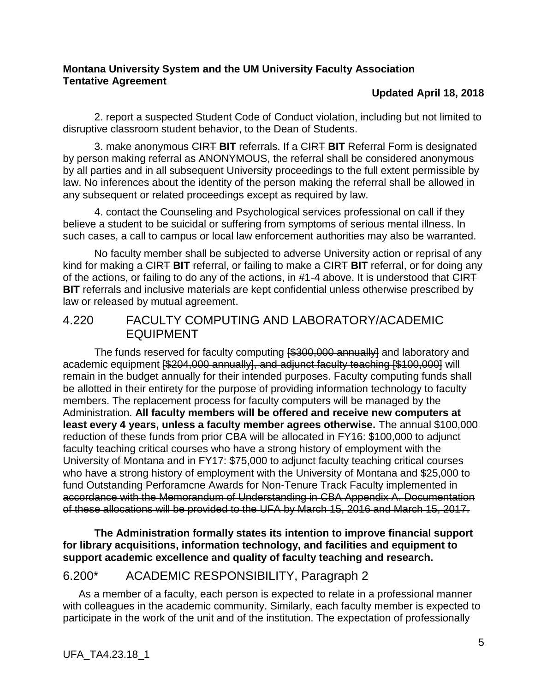### **Updated April 18, 2018**

2. report a suspected Student Code of Conduct violation, including but not limited to disruptive classroom student behavior, to the Dean of Students.

3. make anonymous CIRT **BIT** referrals. If a CIRT **BIT** Referral Form is designated by person making referral as ANONYMOUS, the referral shall be considered anonymous by all parties and in all subsequent University proceedings to the full extent permissible by law. No inferences about the identity of the person making the referral shall be allowed in any subsequent or related proceedings except as required by law.

4. contact the Counseling and Psychological services professional on call if they believe a student to be suicidal or suffering from symptoms of serious mental illness. In such cases, a call to campus or local law enforcement authorities may also be warranted.

No faculty member shall be subjected to adverse University action or reprisal of any kind for making a CIRT **BIT** referral, or failing to make a CIRT **BIT** referral, or for doing any of the actions, or failing to do any of the actions, in #1-4 above. It is understood that CIRT **BIT** referrals and inclusive materials are kept confidential unless otherwise prescribed by law or released by mutual agreement.

### <span id="page-4-0"></span>4.220 FACULTY COMPUTING AND LABORATORY/ACADEMIC EQUIPMENT

The funds reserved for faculty computing **[\$300,000 annually]** and laboratory and academic equipment [\$204,000 annually], and adjunct faculty teaching [\$100,000] will remain in the budget annually for their intended purposes. Faculty computing funds shall be allotted in their entirety for the purpose of providing information technology to faculty members. The replacement process for faculty computers will be managed by the Administration. **All faculty members will be offered and receive new computers at least every 4 years, unless a faculty member agrees otherwise.** The annual \$100,000 reduction of these funds from prior CBA will be allocated in FY16: \$100,000 to adjunct faculty teaching critical courses who have a strong history of employment with the University of Montana and in FY17: \$75,000 to adjunct faculty teaching critical courses who have a strong history of employment with the University of Montana and \$25,000 to fund Outstanding Perforamcne Awards for Non-Tenure Track Faculty implemented in accordance with the Memorandum of Understanding in CBA Appendix A. Documentation of these allocations will be provided to the UFA by March 15, 2016 and March 15, 2017.

**The Administration formally states its intention to improve financial support for library acquisitions, information technology, and facilities and equipment to support academic excellence and quality of faculty teaching and research.**

## <span id="page-4-1"></span>6.200\* ACADEMIC RESPONSIBILITY, Paragraph 2

As a member of a faculty, each person is expected to relate in a professional manner with colleagues in the academic community. Similarly, each faculty member is expected to participate in the work of the unit and of the institution. The expectation of professionally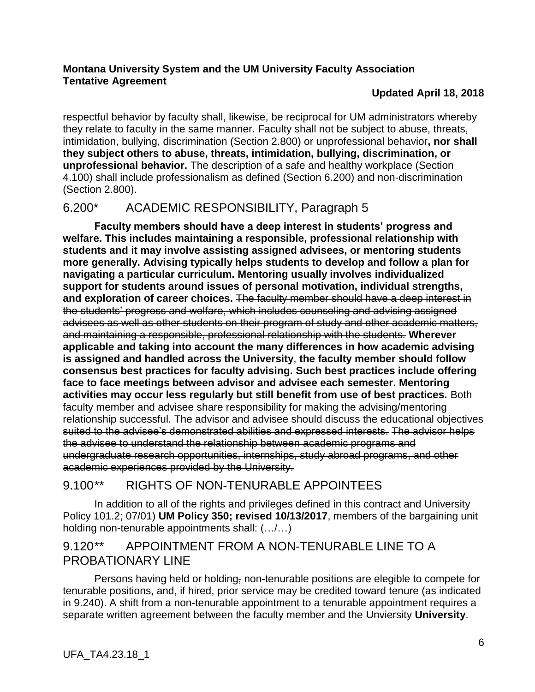### **Updated April 18, 2018**

respectful behavior by faculty shall, likewise, be reciprocal for UM administrators whereby they relate to faculty in the same manner. Faculty shall not be subject to abuse, threats, intimidation, bullying, discrimination (Section 2.800) or unprofessional behavior**, nor shall they subject others to abuse, threats, intimidation, bullying, discrimination, or unprofessional behavior.** The description of a safe and healthy workplace (Section 4.100) shall include professionalism as defined (Section 6.200) and non-discrimination (Section 2.800).

## <span id="page-5-0"></span>6.200\* ACADEMIC RESPONSIBILITY, Paragraph 5

**Faculty members should have a deep interest in students' progress and welfare. This includes maintaining a responsible, professional relationship with students and it may involve assisting assigned advisees, or mentoring students more generally. Advising typically helps students to develop and follow a plan for navigating a particular curriculum. Mentoring usually involves individualized support for students around issues of personal motivation, individual strengths, and exploration of career choices.** The faculty member should have a deep interest in the students' progress and welfare, which includes counseling and advising assigned advisees as well as other students on their program of study and other academic matters, and maintaining a responsible, professional relationship with the students. **Wherever applicable and taking into account the many differences in how academic advising is assigned and handled across the University**, **the faculty member should follow consensus best practices for faculty advising. Such best practices include offering face to face meetings between advisor and advisee each semester. Mentoring activities may occur less regularly but still benefit from use of best practices.** Both faculty member and advisee share responsibility for making the advising/mentoring relationship successful. The advisor and advisee should discuss the educational objectives suited to the advisee's demonstrated abilities and expressed interests. The advisor helps the advisee to understand the relationship between academic programs and undergraduate research opportunities, internships, study abroad programs, and other academic experiences provided by the University.

## <span id="page-5-1"></span>9.100\*\* RIGHTS OF NON-TENURABLE APPOINTEES

In addition to all of the rights and privileges defined in this contract and University Policy 101.2; 07/01) **UM Policy 350; revised 10/13/2017**, members of the bargaining unit holding non-tenurable appointments shall: (…/…)

## <span id="page-5-2"></span>9.120\*\* APPOINTMENT FROM A NON-TENURABLE LINE TO A PROBATIONARY LINE

Persons having held or holding, non-tenurable positions are elegible to compete for tenurable positions, and, if hired, prior service may be credited toward tenure (as indicated in 9.240). A shift from a non-tenurable appointment to a tenurable appointment requires a separate written agreement between the faculty member and the Unviersity **University**.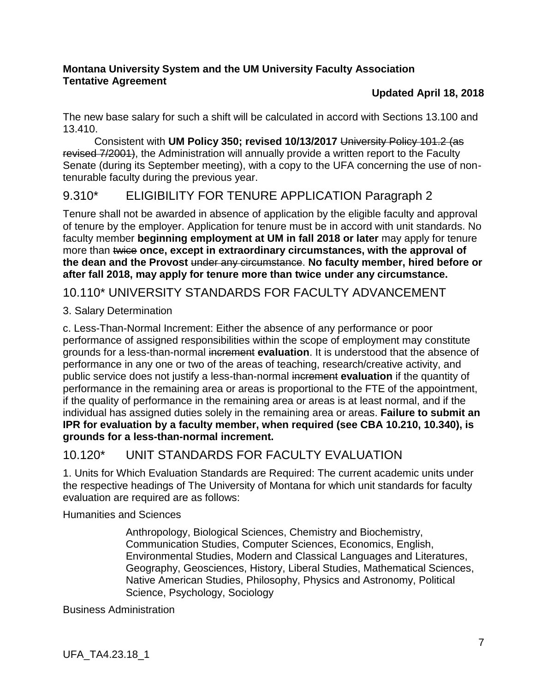### **Updated April 18, 2018**

The new base salary for such a shift will be calculated in accord with Sections 13.100 and 13.410.

Consistent with **UM Policy 350; revised 10/13/2017** University Policy 101.2 (as revised 7/2001), the Administration will annually provide a written report to the Faculty Senate (during its September meeting), with a copy to the UFA concerning the use of nontenurable faculty during the previous year.

## <span id="page-6-0"></span>9.310\* ELIGIBILITY FOR TENURE APPLICATION Paragraph 2

Tenure shall not be awarded in absence of application by the eligible faculty and approval of tenure by the employer. Application for tenure must be in accord with unit standards. No faculty member **beginning employment at UM in fall 2018 or later** may apply for tenure more than twice **once, except in extraordinary circumstances, with the approval of the dean and the Provost** under any circumstance. **No faculty member, hired before or after fall 2018, may apply for tenure more than twice under any circumstance.**

<span id="page-6-1"></span>10.110\* UNIVERSITY STANDARDS FOR FACULTY ADVANCEMENT

3. Salary Determination

c. Less-Than-Normal Increment: Either the absence of any performance or poor performance of assigned responsibilities within the scope of employment may constitute grounds for a less-than-normal increment **evaluation**. It is understood that the absence of performance in any one or two of the areas of teaching, research/creative activity, and public service does not justify a less-than-normal increment **evaluation** if the quantity of performance in the remaining area or areas is proportional to the FTE of the appointment, if the quality of performance in the remaining area or areas is at least normal, and if the individual has assigned duties solely in the remaining area or areas. **Failure to submit an IPR for evaluation by a faculty member, when required (see CBA 10.210, 10.340), is grounds for a less-than-normal increment.**

## <span id="page-6-2"></span>10.120\* UNIT STANDARDS FOR FACULTY EVALUATION

1. Units for Which Evaluation Standards are Required: The current academic units under the respective headings of The University of Montana for which unit standards for faculty evaluation are required are as follows:

Humanities and Sciences

Anthropology, Biological Sciences, Chemistry and Biochemistry, Communication Studies, Computer Sciences, Economics, English, Environmental Studies, Modern and Classical Languages and Literatures, Geography, Geosciences, History, Liberal Studies, Mathematical Sciences, Native American Studies, Philosophy, Physics and Astronomy, Political Science, Psychology, Sociology

Business Administration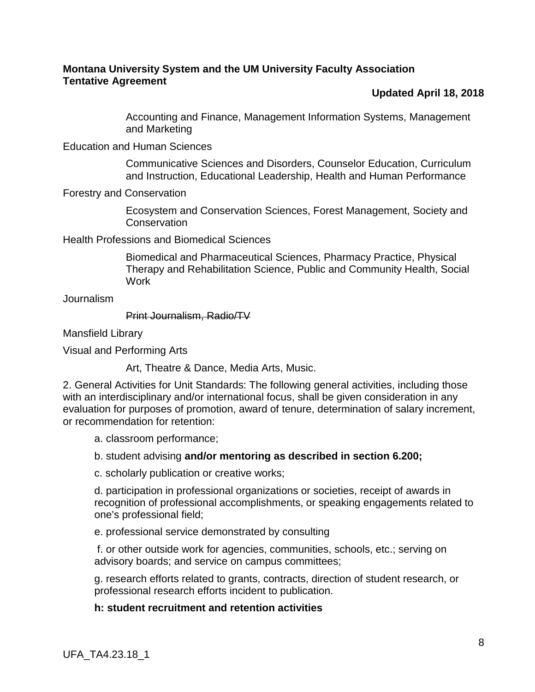#### **Updated April 18, 2018**

Accounting and Finance, Management Information Systems, Management and Marketing

Education and Human Sciences

Communicative Sciences and Disorders, Counselor Education, Curriculum and Instruction, Educational Leadership, Health and Human Performance

Forestry and Conservation

Ecosystem and Conservation Sciences, Forest Management, Society and **Conservation** 

Health Professions and Biomedical Sciences

Biomedical and Pharmaceutical Sciences, Pharmacy Practice, Physical Therapy and Rehabilitation Science, Public and Community Health, Social **Work** 

Journalism

Print Journalism, Radio/TV

Mansfield Library

Visual and Performing Arts

Art, Theatre & Dance, Media Arts, Music.

2. General Activities for Unit Standards: The following general activities, including those with an interdisciplinary and/or international focus, shall be given consideration in any evaluation for purposes of promotion, award of tenure, determination of salary increment, or recommendation for retention:

a. classroom performance;

b. student advising **and/or mentoring as described in section 6.200;**

c. scholarly publication or creative works;

d. participation in professional organizations or societies, receipt of awards in recognition of professional accomplishments, or speaking engagements related to one's professional field;

e. professional service demonstrated by consulting

f. or other outside work for agencies, communities, schools, etc.; serving on advisory boards; and service on campus committees;

g. research efforts related to grants, contracts, direction of student research, or professional research efforts incident to publication.

#### **h: student recruitment and retention activities**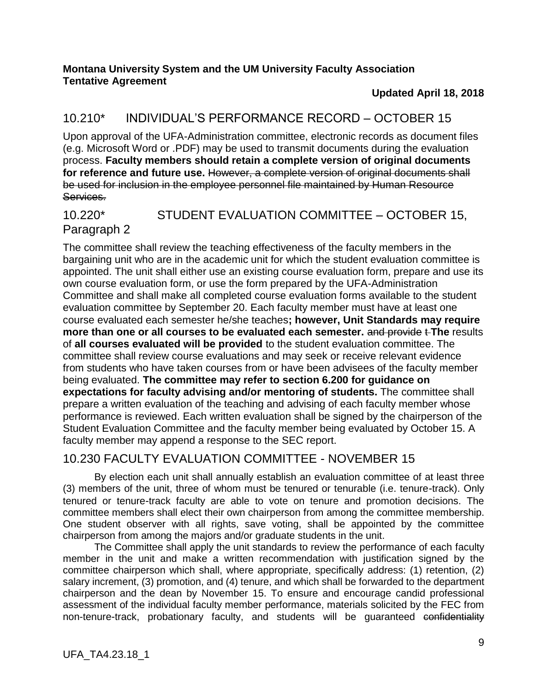#### **Updated April 18, 2018**

### <span id="page-8-0"></span>10.210\* INDIVIDUAL'S PERFORMANCE RECORD – OCTOBER 15

Upon approval of the UFA-Administration committee, electronic records as document files (e.g. Microsoft Word or .PDF) may be used to transmit documents during the evaluation process. **Faculty members should retain a complete version of original documents**  for reference and future use. However, a complete version of original documents shall be used for inclusion in the employee personnel file maintained by Human Resource Services.

### <span id="page-8-1"></span>10.220\* STUDENT EVALUATION COMMITTEE – OCTOBER 15, Paragraph 2

The committee shall review the teaching effectiveness of the faculty members in the bargaining unit who are in the academic unit for which the student evaluation committee is appointed. The unit shall either use an existing course evaluation form, prepare and use its own course evaluation form, or use the form prepared by the UFA-Administration Committee and shall make all completed course evaluation forms available to the student evaluation committee by September 20. Each faculty member must have at least one course evaluated each semester he/she teaches**; however, Unit Standards may require more than one or all courses to be evaluated each semester.** and provide t-The results of **all courses evaluated will be provided** to the student evaluation committee. The committee shall review course evaluations and may seek or receive relevant evidence from students who have taken courses from or have been advisees of the faculty member being evaluated. **The committee may refer to section 6.200 for guidance on expectations for faculty advising and/or mentoring of students.** The committee shall prepare a written evaluation of the teaching and advising of each faculty member whose performance is reviewed. Each written evaluation shall be signed by the chairperson of the Student Evaluation Committee and the faculty member being evaluated by October 15. A faculty member may append a response to the SEC report.

### <span id="page-8-2"></span>10.230 FACULTY EVALUATION COMMITTEE - NOVEMBER 15

By election each unit shall annually establish an evaluation committee of at least three (3) members of the unit, three of whom must be tenured or tenurable (i.e. tenure-track). Only tenured or tenure-track faculty are able to vote on tenure and promotion decisions. The committee members shall elect their own chairperson from among the committee membership. One student observer with all rights, save voting, shall be appointed by the committee chairperson from among the majors and/or graduate students in the unit.

The Committee shall apply the unit standards to review the performance of each faculty member in the unit and make a written recommendation with justification signed by the committee chairperson which shall, where appropriate, specifically address: (1) retention, (2) salary increment, (3) promotion, and (4) tenure, and which shall be forwarded to the department chairperson and the dean by November 15. To ensure and encourage candid professional assessment of the individual faculty member performance, materials solicited by the FEC from non-tenure-track, probationary faculty, and students will be guaranteed confidentiality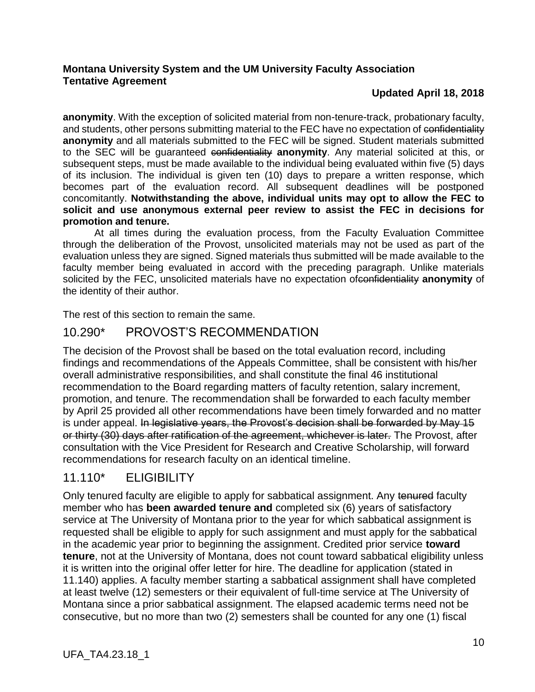### **Updated April 18, 2018**

**anonymity**. With the exception of solicited material from non-tenure-track, probationary faculty, and students, other persons submitting material to the FEC have no expectation of confidentiality **anonymity** and all materials submitted to the FEC will be signed. Student materials submitted to the SEC will be guaranteed confidentiality **anonymity**. Any material solicited at this, or subsequent steps, must be made available to the individual being evaluated within five (5) days of its inclusion. The individual is given ten (10) days to prepare a written response, which becomes part of the evaluation record. All subsequent deadlines will be postponed concomitantly. **Notwithstanding the above, individual units may opt to allow the FEC to solicit and use anonymous external peer review to assist the FEC in decisions for promotion and tenure.**

At all times during the evaluation process, from the Faculty Evaluation Committee through the deliberation of the Provost, unsolicited materials may not be used as part of the evaluation unless they are signed. Signed materials thus submitted will be made available to the faculty member being evaluated in accord with the preceding paragraph. Unlike materials solicited by the FEC, unsolicited materials have no expectation ofconfidentiality **anonymity** of the identity of their author.

The rest of this section to remain the same.

## <span id="page-9-0"></span>10.290\* PROVOST'S RECOMMENDATION

The decision of the Provost shall be based on the total evaluation record, including findings and recommendations of the Appeals Committee, shall be consistent with his/her overall administrative responsibilities, and shall constitute the final 46 institutional recommendation to the Board regarding matters of faculty retention, salary increment, promotion, and tenure. The recommendation shall be forwarded to each faculty member by April 25 provided all other recommendations have been timely forwarded and no matter is under appeal. In legislative years, the Provost's decision shall be forwarded by May 15 or thirty (30) days after ratification of the agreement, whichever is later. The Provost, after consultation with the Vice President for Research and Creative Scholarship, will forward recommendations for research faculty on an identical timeline.

## <span id="page-9-1"></span>11.110\* ELIGIBILITY

Only tenured faculty are eligible to apply for sabbatical assignment. Any tenured faculty member who has **been awarded tenure and** completed six (6) years of satisfactory service at The University of Montana prior to the year for which sabbatical assignment is requested shall be eligible to apply for such assignment and must apply for the sabbatical in the academic year prior to beginning the assignment. Credited prior service **toward tenure**, not at the University of Montana, does not count toward sabbatical eligibility unless it is written into the original offer letter for hire. The deadline for application (stated in 11.140) applies. A faculty member starting a sabbatical assignment shall have completed at least twelve (12) semesters or their equivalent of full-time service at The University of Montana since a prior sabbatical assignment. The elapsed academic terms need not be consecutive, but no more than two (2) semesters shall be counted for any one (1) fiscal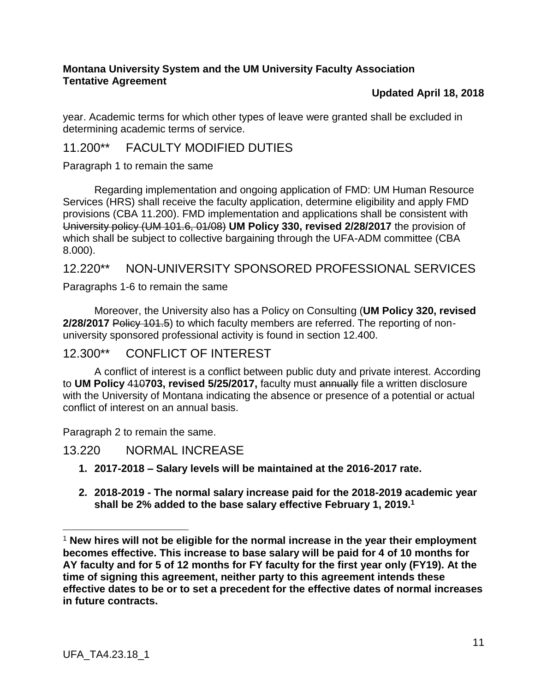#### **Updated April 18, 2018**

year. Academic terms for which other types of leave were granted shall be excluded in determining academic terms of service.

# <span id="page-10-0"></span>11.200\*\* FACULTY MODIFIED DUTIES

Paragraph 1 to remain the same

Regarding implementation and ongoing application of FMD: UM Human Resource Services (HRS) shall receive the faculty application, determine eligibility and apply FMD provisions (CBA 11.200). FMD implementation and applications shall be consistent with University policy (UM 101.6, 01/08) **UM Policy 330, revised 2/28/2017** the provision of which shall be subject to collective bargaining through the UFA-ADM committee (CBA 8.000).

### <span id="page-10-1"></span>12.220\*\* NON-UNIVERSITY SPONSORED PROFESSIONAL SERVICES

Paragraphs 1-6 to remain the same

Moreover, the University also has a Policy on Consulting (**UM Policy 320, revised 2/28/2017** Policy 101.5) to which faculty members are referred. The reporting of nonuniversity sponsored professional activity is found in section 12.400.

## <span id="page-10-2"></span>12.300\*\* CONFLICT OF INTEREST

A conflict of interest is a conflict between public duty and private interest. According to **UM Policy** 410**703, revised 5/25/2017,** faculty must annually file a written disclosure with the University of Montana indicating the absence or presence of a potential or actual conflict of interest on an annual basis.

Paragraph 2 to remain the same.

### <span id="page-10-3"></span>13.220 NORMAL INCREASE

- **1. 2017-2018 – Salary levels will be maintained at the 2016-2017 rate.**
- **2. 2018-2019 - The normal salary increase paid for the 2018-2019 academic year shall be 2% added to the base salary effective February 1, 2019.<sup>1</sup>**

 $\overline{a}$ 

<sup>1</sup> **New hires will not be eligible for the normal increase in the year their employment becomes effective. This increase to base salary will be paid for 4 of 10 months for AY faculty and for 5 of 12 months for FY faculty for the first year only (FY19). At the time of signing this agreement, neither party to this agreement intends these effective dates to be or to set a precedent for the effective dates of normal increases in future contracts.**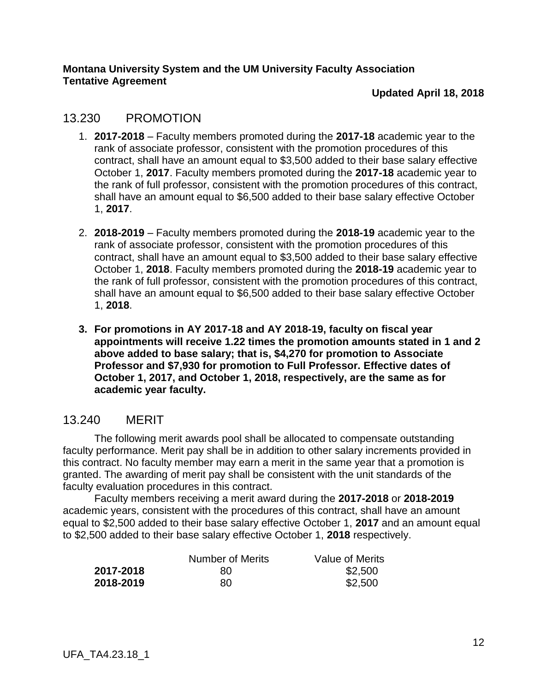#### **Updated April 18, 2018**

### <span id="page-11-0"></span>13.230 PROMOTION

- 1. **2017-2018** Faculty members promoted during the **2017-18** academic year to the rank of associate professor, consistent with the promotion procedures of this contract, shall have an amount equal to \$3,500 added to their base salary effective October 1, **2017**. Faculty members promoted during the **2017-18** academic year to the rank of full professor, consistent with the promotion procedures of this contract, shall have an amount equal to \$6,500 added to their base salary effective October 1, **2017**.
- 2. **2018-2019** Faculty members promoted during the **2018-19** academic year to the rank of associate professor, consistent with the promotion procedures of this contract, shall have an amount equal to \$3,500 added to their base salary effective October 1, **2018**. Faculty members promoted during the **2018-19** academic year to the rank of full professor, consistent with the promotion procedures of this contract, shall have an amount equal to \$6,500 added to their base salary effective October 1, **2018**.
- **3. For promotions in AY 2017-18 and AY 2018-19, faculty on fiscal year appointments will receive 1.22 times the promotion amounts stated in 1 and 2 above added to base salary; that is, \$4,270 for promotion to Associate Professor and \$7,930 for promotion to Full Professor. Effective dates of October 1, 2017, and October 1, 2018, respectively, are the same as for academic year faculty.**

## <span id="page-11-1"></span>13.240 MERIT

The following merit awards pool shall be allocated to compensate outstanding faculty performance. Merit pay shall be in addition to other salary increments provided in this contract. No faculty member may earn a merit in the same year that a promotion is granted. The awarding of merit pay shall be consistent with the unit standards of the faculty evaluation procedures in this contract.

Faculty members receiving a merit award during the **2017-2018** or **2018-2019** academic years, consistent with the procedures of this contract, shall have an amount equal to \$2,500 added to their base salary effective October 1, **2017** and an amount equal to \$2,500 added to their base salary effective October 1, **2018** respectively.

|           | Number of Merits | Value of Merits |
|-----------|------------------|-----------------|
| 2017-2018 | 80               | \$2,500         |
| 2018-2019 | 80               | \$2,500         |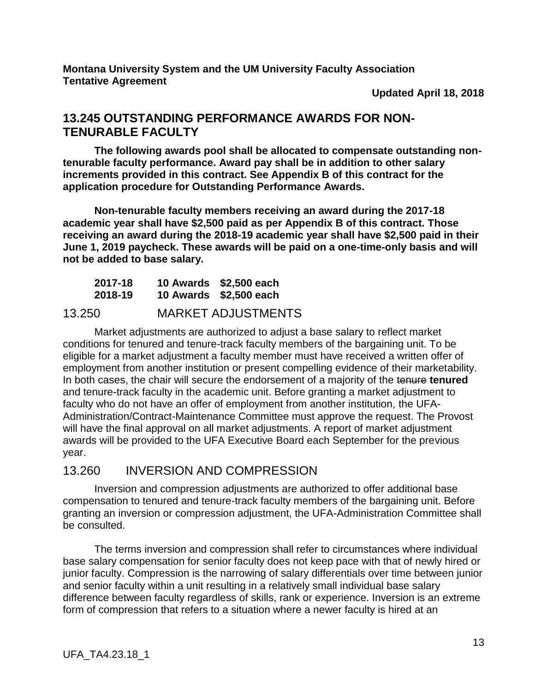**Updated April 18, 2018**

### <span id="page-12-0"></span>**13.245 OUTSTANDING PERFORMANCE AWARDS FOR NON-TENURABLE FACULTY**

**The following awards pool shall be allocated to compensate outstanding nontenurable faculty performance. Award pay shall be in addition to other salary increments provided in this contract. See Appendix B of this contract for the application procedure for Outstanding Performance Awards.**

**Non-tenurable faculty members receiving an award during the 2017-18 academic year shall have \$2,500 paid as per Appendix B of this contract. Those receiving an award during the 2018-19 academic year shall have \$2,500 paid in their June 1, 2019 paycheck. These awards will be paid on a one-time-only basis and will not be added to base salary.** 

| 2017-18<br>2018-19 | 10 Awards \$2,500 each<br>10 Awards \$2,500 each |
|--------------------|--------------------------------------------------|
| ח מח נ             | MADIZET AN ILIOTMENITO                           |

## <span id="page-12-1"></span>13.250 MARKET ADJUSTMENTS

Market adjustments are authorized to adjust a base salary to reflect market conditions for tenured and tenure-track faculty members of the bargaining unit. To be eligible for a market adjustment a faculty member must have received a written offer of employment from another institution or present compelling evidence of their marketability. In both cases, the chair will secure the endorsement of a majority of the tenure **tenured** and tenure-track faculty in the academic unit. Before granting a market adjustment to faculty who do not have an offer of employment from another institution, the UFA-Administration/Contract-Maintenance Committee must approve the request. The Provost will have the final approval on all market adjustments. A report of market adjustment awards will be provided to the UFA Executive Board each September for the previous year.

### <span id="page-12-2"></span>13.260 INVERSION AND COMPRESSION

Inversion and compression adjustments are authorized to offer additional base compensation to tenured and tenure-track faculty members of the bargaining unit. Before granting an inversion or compression adjustment, the UFA-Administration Committee shall be consulted.

The terms inversion and compression shall refer to circumstances where individual base salary compensation for senior faculty does not keep pace with that of newly hired or junior faculty. Compression is the narrowing of salary differentials over time between junior and senior faculty within a unit resulting in a relatively small individual base salary difference between faculty regardless of skills, rank or experience. Inversion is an extreme form of compression that refers to a situation where a newer faculty is hired at an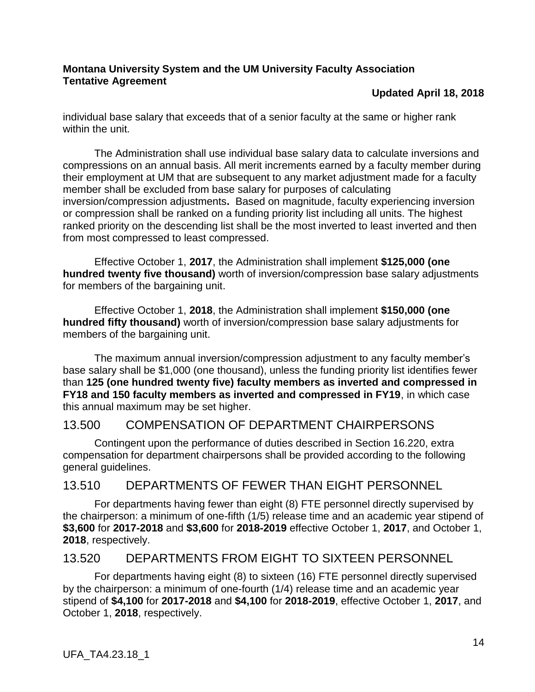#### **Updated April 18, 2018**

individual base salary that exceeds that of a senior faculty at the same or higher rank within the unit.

The Administration shall use individual base salary data to calculate inversions and compressions on an annual basis. All merit increments earned by a faculty member during their employment at UM that are subsequent to any market adjustment made for a faculty member shall be excluded from base salary for purposes of calculating inversion/compression adjustments**.** Based on magnitude, faculty experiencing inversion or compression shall be ranked on a funding priority list including all units. The highest ranked priority on the descending list shall be the most inverted to least inverted and then from most compressed to least compressed.

Effective October 1, **2017**, the Administration shall implement **\$125,000 (one hundred twenty five thousand)** worth of inversion/compression base salary adjustments for members of the bargaining unit.

Effective October 1, **2018**, the Administration shall implement **\$150,000 (one hundred fifty thousand)** worth of inversion/compression base salary adjustments for members of the bargaining unit.

The maximum annual inversion/compression adjustment to any faculty member's base salary shall be \$1,000 (one thousand), unless the funding priority list identifies fewer than **125 (one hundred twenty five) faculty members as inverted and compressed in FY18 and 150 faculty members as inverted and compressed in FY19**, in which case this annual maximum may be set higher.

## <span id="page-13-0"></span>13.500 COMPENSATION OF DEPARTMENT CHAIRPERSONS

Contingent upon the performance of duties described in Section 16.220, extra compensation for department chairpersons shall be provided according to the following general guidelines.

## <span id="page-13-1"></span>13.510 DEPARTMENTS OF FEWER THAN EIGHT PERSONNEL

For departments having fewer than eight (8) FTE personnel directly supervised by the chairperson: a minimum of one-fifth (1/5) release time and an academic year stipend of **\$3,600** for **2017-2018** and **\$3,600** for **2018-2019** effective October 1, **2017**, and October 1, **2018**, respectively.

## <span id="page-13-2"></span>13.520 DEPARTMENTS FROM EIGHT TO SIXTEEN PERSONNEL

For departments having eight (8) to sixteen (16) FTE personnel directly supervised by the chairperson: a minimum of one-fourth (1/4) release time and an academic year stipend of **\$4,100** for **2017-2018** and **\$4,100** for **2018-2019**, effective October 1, **2017**, and October 1, **2018**, respectively.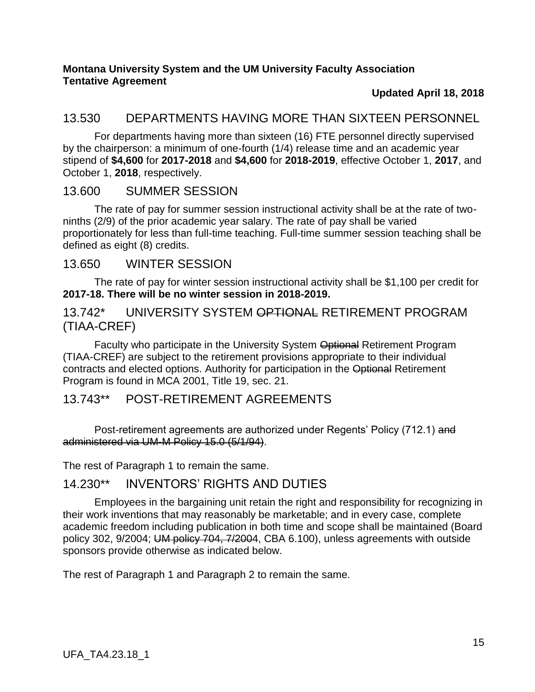### **Updated April 18, 2018**

## <span id="page-14-0"></span>13.530 DEPARTMENTS HAVING MORE THAN SIXTEEN PERSONNEL

For departments having more than sixteen (16) FTE personnel directly supervised by the chairperson: a minimum of one-fourth (1/4) release time and an academic year stipend of **\$4,600** for **2017-2018** and **\$4,600** for **2018-2019**, effective October 1, **2017**, and October 1, **2018**, respectively.

### <span id="page-14-1"></span>13.600 SUMMER SESSION

The rate of pay for summer session instructional activity shall be at the rate of twoninths (2/9) of the prior academic year salary. The rate of pay shall be varied proportionately for less than full-time teaching. Full-time summer session teaching shall be defined as eight (8) credits.

### <span id="page-14-2"></span>13.650 WINTER SESSION

The rate of pay for winter session instructional activity shall be \$1,100 per credit for **2017-18. There will be no winter session in 2018-2019.**

### <span id="page-14-3"></span>13.742\* UNIVERSITY SYSTEM OPTIONAL RETIREMENT PROGRAM (TIAA-CREF)

Faculty who participate in the University System Optional Retirement Program (TIAA-CREF) are subject to the retirement provisions appropriate to their individual contracts and elected options. Authority for participation in the Optional Retirement Program is found in MCA 2001, Title 19, sec. 21.

## <span id="page-14-4"></span>13.743\*\* POST-RETIREMENT AGREEMENTS

Post-retirement agreements are authorized under Regents' Policy (712.1) and administered via UM-M Policy 15.0 (5/1/94).

The rest of Paragraph 1 to remain the same.

## <span id="page-14-5"></span>14.230\*\* INVENTORS' RIGHTS AND DUTIES

Employees in the bargaining unit retain the right and responsibility for recognizing in their work inventions that may reasonably be marketable; and in every case, complete academic freedom including publication in both time and scope shall be maintained (Board policy 302, 9/2004; UM policy 704, 7/2004, CBA 6.100), unless agreements with outside sponsors provide otherwise as indicated below.

The rest of Paragraph 1 and Paragraph 2 to remain the same.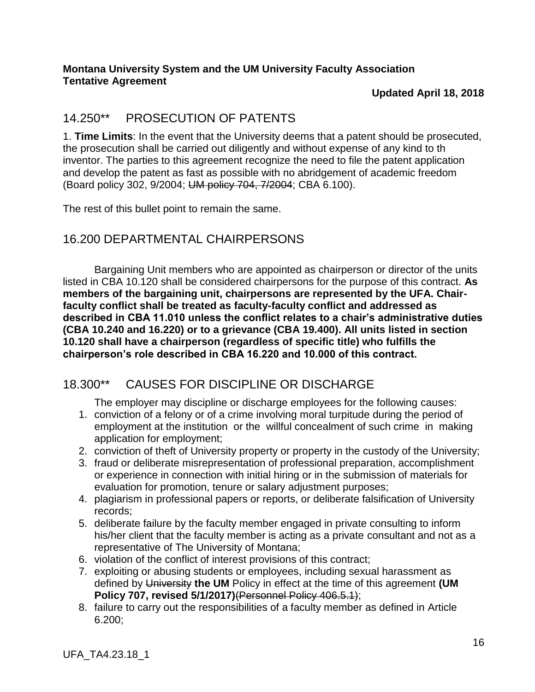#### **Updated April 18, 2018**

## <span id="page-15-0"></span>14.250\*\* PROSECUTION OF PATENTS

1. **Time Limits**: In the event that the University deems that a patent should be prosecuted, the prosecution shall be carried out diligently and without expense of any kind to th inventor. The parties to this agreement recognize the need to file the patent application and develop the patent as fast as possible with no abridgement of academic freedom (Board policy 302, 9/2004; UM policy 704, 7/2004; CBA 6.100).

The rest of this bullet point to remain the same.

## <span id="page-15-1"></span>16.200 DEPARTMENTAL CHAIRPERSONS

Bargaining Unit members who are appointed as chairperson or director of the units listed in CBA 10.120 shall be considered chairpersons for the purpose of this contract. **As members of the bargaining unit, chairpersons are represented by the UFA. Chairfaculty conflict shall be treated as faculty-faculty conflict and addressed as described in CBA 11.010 unless the conflict relates to a chair's administrative duties (CBA 10.240 and 16.220) or to a grievance (CBA 19.400). All units listed in section 10.120 shall have a chairperson (regardless of specific title) who fulfills the chairperson's role described in CBA 16.220 and 10.000 of this contract.**

## <span id="page-15-2"></span>18.300\*\* CAUSES FOR DISCIPLINE OR DISCHARGE

The employer may discipline or discharge employees for the following causes:

- 1. conviction of a felony or of a crime involving moral turpitude during the period of employment at the institution or the willful concealment of such crime in making application for employment;
- 2. conviction of theft of University property or property in the custody of the University;
- 3. fraud or deliberate misrepresentation of professional preparation, accomplishment or experience in connection with initial hiring or in the submission of materials for evaluation for promotion, tenure or salary adjustment purposes;
- 4. plagiarism in professional papers or reports, or deliberate falsification of University records;
- 5. deliberate failure by the faculty member engaged in private consulting to inform his/her client that the faculty member is acting as a private consultant and not as a representative of The University of Montana;
- 6. violation of the conflict of interest provisions of this contract;
- 7. exploiting or abusing students or employees, including sexual harassment as defined by University **the UM** Policy in effect at the time of this agreement **(UM Policy 707, revised 5/1/2017)**(Personnel Policy 406.5.1);
- 8. failure to carry out the responsibilities of a faculty member as defined in Article 6.200;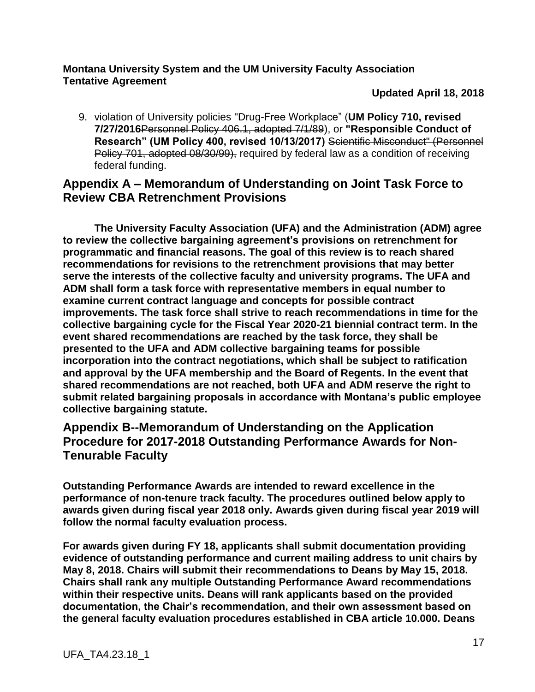#### **Updated April 18, 2018**

9. violation of University policies "Drug-Free Workplace" (**UM Policy 710, revised 7/27/2016**Personnel Policy 406.1, adopted 7/1/89), or **"Responsible Conduct of Research" (UM Policy 400, revised 10/13/2017)** Scientific Misconduct" (Personnel Policy 701, adopted 08/30/99), required by federal law as a condition of receiving federal funding.

### <span id="page-16-0"></span>**Appendix A – Memorandum of Understanding on Joint Task Force to Review CBA Retrenchment Provisions**

**The University Faculty Association (UFA) and the Administration (ADM) agree to review the collective bargaining agreement's provisions on retrenchment for programmatic and financial reasons. The goal of this review is to reach shared recommendations for revisions to the retrenchment provisions that may better serve the interests of the collective faculty and university programs. The UFA and ADM shall form a task force with representative members in equal number to examine current contract language and concepts for possible contract improvements. The task force shall strive to reach recommendations in time for the collective bargaining cycle for the Fiscal Year 2020-21 biennial contract term. In the event shared recommendations are reached by the task force, they shall be presented to the UFA and ADM collective bargaining teams for possible incorporation into the contract negotiations, which shall be subject to ratification and approval by the UFA membership and the Board of Regents. In the event that shared recommendations are not reached, both UFA and ADM reserve the right to submit related bargaining proposals in accordance with Montana's public employee collective bargaining statute.**

### <span id="page-16-1"></span>**Appendix B--Memorandum of Understanding on the Application Procedure for 2017-2018 Outstanding Performance Awards for Non-Tenurable Faculty**

**Outstanding Performance Awards are intended to reward excellence in the performance of non-tenure track faculty. The procedures outlined below apply to awards given during fiscal year 2018 only. Awards given during fiscal year 2019 will follow the normal faculty evaluation process.**

**For awards given during FY 18, applicants shall submit documentation providing evidence of outstanding performance and current mailing address to unit chairs by May 8, 2018. Chairs will submit their recommendations to Deans by May 15, 2018. Chairs shall rank any multiple Outstanding Performance Award recommendations within their respective units. Deans will rank applicants based on the provided documentation, the Chair's recommendation, and their own assessment based on the general faculty evaluation procedures established in CBA article 10.000. Deans**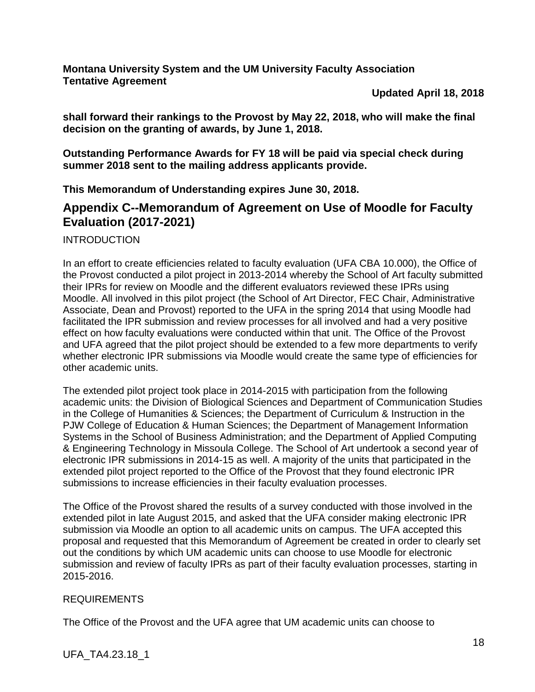**Updated April 18, 2018**

**shall forward their rankings to the Provost by May 22, 2018, who will make the final decision on the granting of awards, by June 1, 2018.** 

**Outstanding Performance Awards for FY 18 will be paid via special check during summer 2018 sent to the mailing address applicants provide.**

**This Memorandum of Understanding expires June 30, 2018.** 

### <span id="page-17-0"></span>**Appendix C--Memorandum of Agreement on Use of Moodle for Faculty Evaluation (2017-2021)**

INTRODUCTION

In an effort to create efficiencies related to faculty evaluation (UFA CBA 10.000), the Office of the Provost conducted a pilot project in 2013-2014 whereby the School of Art faculty submitted their IPRs for review on Moodle and the different evaluators reviewed these IPRs using Moodle. All involved in this pilot project (the School of Art Director, FEC Chair, Administrative Associate, Dean and Provost) reported to the UFA in the spring 2014 that using Moodle had facilitated the IPR submission and review processes for all involved and had a very positive effect on how faculty evaluations were conducted within that unit. The Office of the Provost and UFA agreed that the pilot project should be extended to a few more departments to verify whether electronic IPR submissions via Moodle would create the same type of efficiencies for other academic units.

The extended pilot project took place in 2014-2015 with participation from the following academic units: the Division of Biological Sciences and Department of Communication Studies in the College of Humanities & Sciences; the Department of Curriculum & Instruction in the PJW College of Education & Human Sciences; the Department of Management Information Systems in the School of Business Administration; and the Department of Applied Computing & Engineering Technology in Missoula College. The School of Art undertook a second year of electronic IPR submissions in 2014-15 as well. A majority of the units that participated in the extended pilot project reported to the Office of the Provost that they found electronic IPR submissions to increase efficiencies in their faculty evaluation processes.

The Office of the Provost shared the results of a survey conducted with those involved in the extended pilot in late August 2015, and asked that the UFA consider making electronic IPR submission via Moodle an option to all academic units on campus. The UFA accepted this proposal and requested that this Memorandum of Agreement be created in order to clearly set out the conditions by which UM academic units can choose to use Moodle for electronic submission and review of faculty IPRs as part of their faculty evaluation processes, starting in 2015-2016.

#### REQUIREMENTS

The Office of the Provost and the UFA agree that UM academic units can choose to